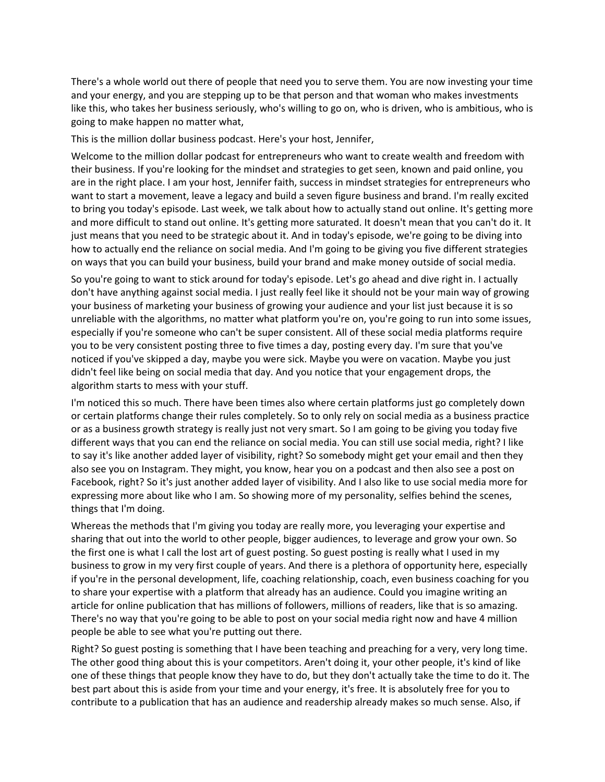There's a whole world out there of people that need you to serve them. You are now investing your time and your energy, and you are stepping up to be that person and that woman who makes investments like this, who takes her business seriously, who's willing to go on, who is driven, who is ambitious, who is going to make happen no matter what,

This is the million dollar business podcast. Here's your host, Jennifer,

Welcome to the million dollar podcast for entrepreneurs who want to create wealth and freedom with their business. If you're looking for the mindset and strategies to get seen, known and paid online, you are in the right place. I am your host, Jennifer faith, success in mindset strategies for entrepreneurs who want to start a movement, leave a legacy and build a seven figure business and brand. I'm really excited to bring you today's episode. Last week, we talk about how to actually stand out online. It's getting more and more difficult to stand out online. It's getting more saturated. It doesn't mean that you can't do it. It just means that you need to be strategic about it. And in today's episode, we're going to be diving into how to actually end the reliance on social media. And I'm going to be giving you five different strategies on ways that you can build your business, build your brand and make money outside of social media.

So you're going to want to stick around for today's episode. Let's go ahead and dive right in. I actually don't have anything against social media. I just really feel like it should not be your main way of growing your business of marketing your business of growing your audience and your list just because it is so unreliable with the algorithms, no matter what platform you're on, you're going to run into some issues, especially if you're someone who can't be super consistent. All of these social media platforms require you to be very consistent posting three to five times a day, posting every day. I'm sure that you've noticed if you've skipped a day, maybe you were sick. Maybe you were on vacation. Maybe you just didn't feel like being on social media that day. And you notice that your engagement drops, the algorithm starts to mess with your stuff.

I'm noticed this so much. There have been times also where certain platforms just go completely down or certain platforms change their rules completely. So to only rely on social media as a business practice or as a business growth strategy is really just not very smart. So I am going to be giving you today five different ways that you can end the reliance on social media. You can still use social media, right? I like to say it's like another added layer of visibility, right? So somebody might get your email and then they also see you on Instagram. They might, you know, hear you on a podcast and then also see a post on Facebook, right? So it's just another added layer of visibility. And I also like to use social media more for expressing more about like who I am. So showing more of my personality, selfies behind the scenes, things that I'm doing.

Whereas the methods that I'm giving you today are really more, you leveraging your expertise and sharing that out into the world to other people, bigger audiences, to leverage and grow your own. So the first one is what I call the lost art of guest posting. So guest posting is really what I used in my business to grow in my very first couple of years. And there is a plethora of opportunity here, especially if you're in the personal development, life, coaching relationship, coach, even business coaching for you to share your expertise with a platform that already has an audience. Could you imagine writing an article for online publication that has millions of followers, millions of readers, like that is so amazing. There's no way that you're going to be able to post on your social media right now and have 4 million people be able to see what you're putting out there.

Right? So guest posting is something that I have been teaching and preaching for a very, very long time. The other good thing about this is your competitors. Aren't doing it, your other people, it's kind of like one of these things that people know they have to do, but they don't actually take the time to do it. The best part about this is aside from your time and your energy, it's free. It is absolutely free for you to contribute to a publication that has an audience and readership already makes so much sense. Also, if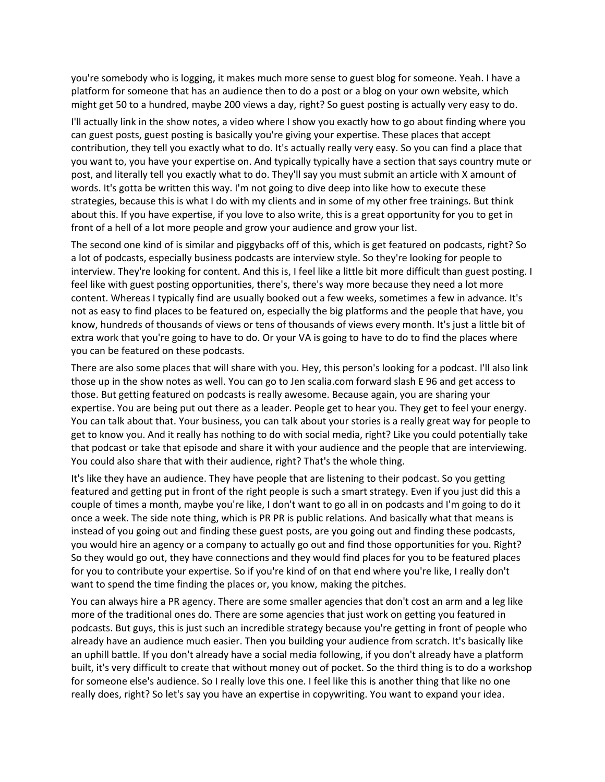you're somebody who is logging, it makes much more sense to guest blog for someone. Yeah. I have a platform for someone that has an audience then to do a post or a blog on your own website, which might get 50 to a hundred, maybe 200 views a day, right? So guest posting is actually very easy to do.

I'll actually link in the show notes, a video where I show you exactly how to go about finding where you can guest posts, guest posting is basically you're giving your expertise. These places that accept contribution, they tell you exactly what to do. It's actually really very easy. So you can find a place that you want to, you have your expertise on. And typically typically have a section that says country mute or post, and literally tell you exactly what to do. They'll say you must submit an article with X amount of words. It's gotta be written this way. I'm not going to dive deep into like how to execute these strategies, because this is what I do with my clients and in some of my other free trainings. But think about this. If you have expertise, if you love to also write, this is a great opportunity for you to get in front of a hell of a lot more people and grow your audience and grow your list.

The second one kind of is similar and piggybacks off of this, which is get featured on podcasts, right? So a lot of podcasts, especially business podcasts are interview style. So they're looking for people to interview. They're looking for content. And this is, I feel like a little bit more difficult than guest posting. I feel like with guest posting opportunities, there's, there's way more because they need a lot more content. Whereas I typically find are usually booked out a few weeks, sometimes a few in advance. It's not as easy to find places to be featured on, especially the big platforms and the people that have, you know, hundreds of thousands of views or tens of thousands of views every month. It's just a little bit of extra work that you're going to have to do. Or your VA is going to have to do to find the places where you can be featured on these podcasts.

There are also some places that will share with you. Hey, this person's looking for a podcast. I'll also link those up in the show notes as well. You can go to Jen scalia.com forward slash E 96 and get access to those. But getting featured on podcasts is really awesome. Because again, you are sharing your expertise. You are being put out there as a leader. People get to hear you. They get to feel your energy. You can talk about that. Your business, you can talk about your stories is a really great way for people to get to know you. And it really has nothing to do with social media, right? Like you could potentially take that podcast or take that episode and share it with your audience and the people that are interviewing. You could also share that with their audience, right? That's the whole thing.

It's like they have an audience. They have people that are listening to their podcast. So you getting featured and getting put in front of the right people is such a smart strategy. Even if you just did this a couple of times a month, maybe you're like, I don't want to go all in on podcasts and I'm going to do it once a week. The side note thing, which is PR PR is public relations. And basically what that means is instead of you going out and finding these guest posts, are you going out and finding these podcasts, you would hire an agency or a company to actually go out and find those opportunities for you. Right? So they would go out, they have connections and they would find places for you to be featured places for you to contribute your expertise. So if you're kind of on that end where you're like, I really don't want to spend the time finding the places or, you know, making the pitches.

You can always hire a PR agency. There are some smaller agencies that don't cost an arm and a leg like more of the traditional ones do. There are some agencies that just work on getting you featured in podcasts. But guys, this is just such an incredible strategy because you're getting in front of people who already have an audience much easier. Then you building your audience from scratch. It's basically like an uphill battle. If you don't already have a social media following, if you don't already have a platform built, it's very difficult to create that without money out of pocket. So the third thing is to do a workshop for someone else's audience. So I really love this one. I feel like this is another thing that like no one really does, right? So let's say you have an expertise in copywriting. You want to expand your idea.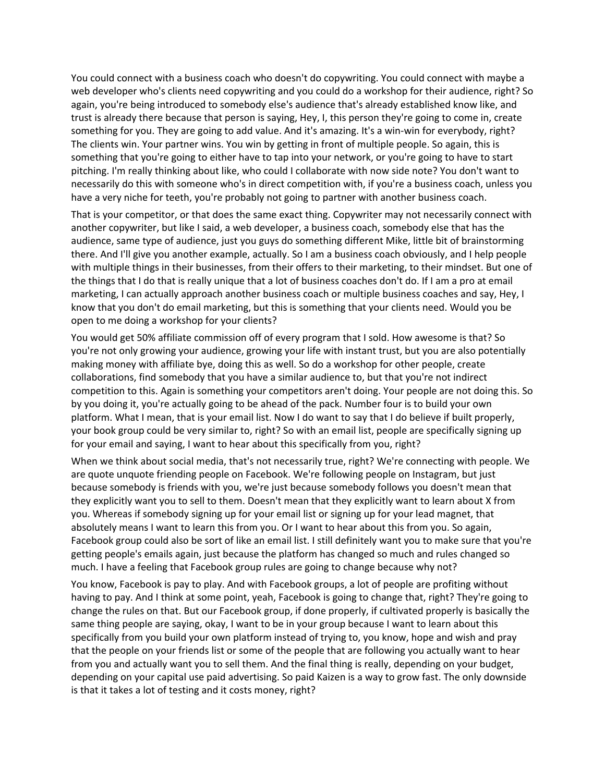You could connect with a business coach who doesn't do copywriting. You could connect with maybe a web developer who's clients need copywriting and you could do a workshop for their audience, right? So again, you're being introduced to somebody else's audience that's already established know like, and trust is already there because that person is saying, Hey, I, this person they're going to come in, create something for you. They are going to add value. And it's amazing. It's a win-win for everybody, right? The clients win. Your partner wins. You win by getting in front of multiple people. So again, this is something that you're going to either have to tap into your network, or you're going to have to start pitching. I'm really thinking about like, who could I collaborate with now side note? You don't want to necessarily do this with someone who's in direct competition with, if you're a business coach, unless you have a very niche for teeth, you're probably not going to partner with another business coach.

That is your competitor, or that does the same exact thing. Copywriter may not necessarily connect with another copywriter, but like I said, a web developer, a business coach, somebody else that has the audience, same type of audience, just you guys do something different Mike, little bit of brainstorming there. And I'll give you another example, actually. So I am a business coach obviously, and I help people with multiple things in their businesses, from their offers to their marketing, to their mindset. But one of the things that I do that is really unique that a lot of business coaches don't do. If I am a pro at email marketing, I can actually approach another business coach or multiple business coaches and say, Hey, I know that you don't do email marketing, but this is something that your clients need. Would you be open to me doing a workshop for your clients?

You would get 50% affiliate commission off of every program that I sold. How awesome is that? So you're not only growing your audience, growing your life with instant trust, but you are also potentially making money with affiliate bye, doing this as well. So do a workshop for other people, create collaborations, find somebody that you have a similar audience to, but that you're not indirect competition to this. Again is something your competitors aren't doing. Your people are not doing this. So by you doing it, you're actually going to be ahead of the pack. Number four is to build your own platform. What I mean, that is your email list. Now I do want to say that I do believe if built properly, your book group could be very similar to, right? So with an email list, people are specifically signing up for your email and saying, I want to hear about this specifically from you, right?

When we think about social media, that's not necessarily true, right? We're connecting with people. We are quote unquote friending people on Facebook. We're following people on Instagram, but just because somebody is friends with you, we're just because somebody follows you doesn't mean that they explicitly want you to sell to them. Doesn't mean that they explicitly want to learn about X from you. Whereas if somebody signing up for your email list or signing up for your lead magnet, that absolutely means I want to learn this from you. Or I want to hear about this from you. So again, Facebook group could also be sort of like an email list. I still definitely want you to make sure that you're getting people's emails again, just because the platform has changed so much and rules changed so much. I have a feeling that Facebook group rules are going to change because why not?

You know, Facebook is pay to play. And with Facebook groups, a lot of people are profiting without having to pay. And I think at some point, yeah, Facebook is going to change that, right? They're going to change the rules on that. But our Facebook group, if done properly, if cultivated properly is basically the same thing people are saying, okay, I want to be in your group because I want to learn about this specifically from you build your own platform instead of trying to, you know, hope and wish and pray that the people on your friends list or some of the people that are following you actually want to hear from you and actually want you to sell them. And the final thing is really, depending on your budget, depending on your capital use paid advertising. So paid Kaizen is a way to grow fast. The only downside is that it takes a lot of testing and it costs money, right?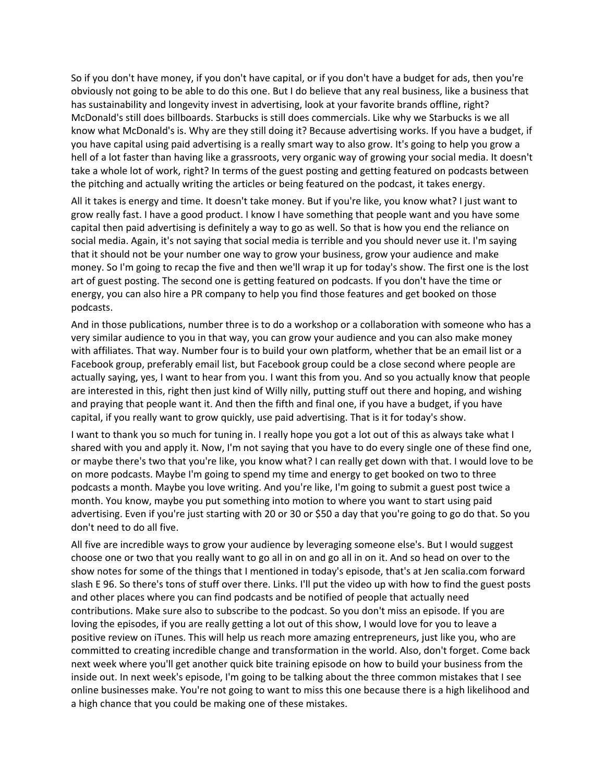So if you don't have money, if you don't have capital, or if you don't have a budget for ads, then you're obviously not going to be able to do this one. But I do believe that any real business, like a business that has sustainability and longevity invest in advertising, look at your favorite brands offline, right? McDonald's still does billboards. Starbucks is still does commercials. Like why we Starbucks is we all know what McDonald's is. Why are they still doing it? Because advertising works. If you have a budget, if you have capital using paid advertising is a really smart way to also grow. It's going to help you grow a hell of a lot faster than having like a grassroots, very organic way of growing your social media. It doesn't take a whole lot of work, right? In terms of the guest posting and getting featured on podcasts between the pitching and actually writing the articles or being featured on the podcast, it takes energy.

All it takes is energy and time. It doesn't take money. But if you're like, you know what? I just want to grow really fast. I have a good product. I know I have something that people want and you have some capital then paid advertising is definitely a way to go as well. So that is how you end the reliance on social media. Again, it's not saying that social media is terrible and you should never use it. I'm saying that it should not be your number one way to grow your business, grow your audience and make money. So I'm going to recap the five and then we'll wrap it up for today's show. The first one is the lost art of guest posting. The second one is getting featured on podcasts. If you don't have the time or energy, you can also hire a PR company to help you find those features and get booked on those podcasts.

And in those publications, number three is to do a workshop or a collaboration with someone who has a very similar audience to you in that way, you can grow your audience and you can also make money with affiliates. That way. Number four is to build your own platform, whether that be an email list or a Facebook group, preferably email list, but Facebook group could be a close second where people are actually saying, yes, I want to hear from you. I want this from you. And so you actually know that people are interested in this, right then just kind of Willy nilly, putting stuff out there and hoping, and wishing and praying that people want it. And then the fifth and final one, if you have a budget, if you have capital, if you really want to grow quickly, use paid advertising. That is it for today's show.

I want to thank you so much for tuning in. I really hope you got a lot out of this as always take what I shared with you and apply it. Now, I'm not saying that you have to do every single one of these find one, or maybe there's two that you're like, you know what? I can really get down with that. I would love to be on more podcasts. Maybe I'm going to spend my time and energy to get booked on two to three podcasts a month. Maybe you love writing. And you're like, I'm going to submit a guest post twice a month. You know, maybe you put something into motion to where you want to start using paid advertising. Even if you're just starting with 20 or 30 or \$50 a day that you're going to go do that. So you don't need to do all five.

All five are incredible ways to grow your audience by leveraging someone else's. But I would suggest choose one or two that you really want to go all in on and go all in on it. And so head on over to the show notes for some of the things that I mentioned in today's episode, that's at Jen scalia.com forward slash E 96. So there's tons of stuff over there. Links. I'll put the video up with how to find the guest posts and other places where you can find podcasts and be notified of people that actually need contributions. Make sure also to subscribe to the podcast. So you don't miss an episode. If you are loving the episodes, if you are really getting a lot out of this show, I would love for you to leave a positive review on iTunes. This will help us reach more amazing entrepreneurs, just like you, who are committed to creating incredible change and transformation in the world. Also, don't forget. Come back next week where you'll get another quick bite training episode on how to build your business from the inside out. In next week's episode, I'm going to be talking about the three common mistakes that I see online businesses make. You're not going to want to miss this one because there is a high likelihood and a high chance that you could be making one of these mistakes.